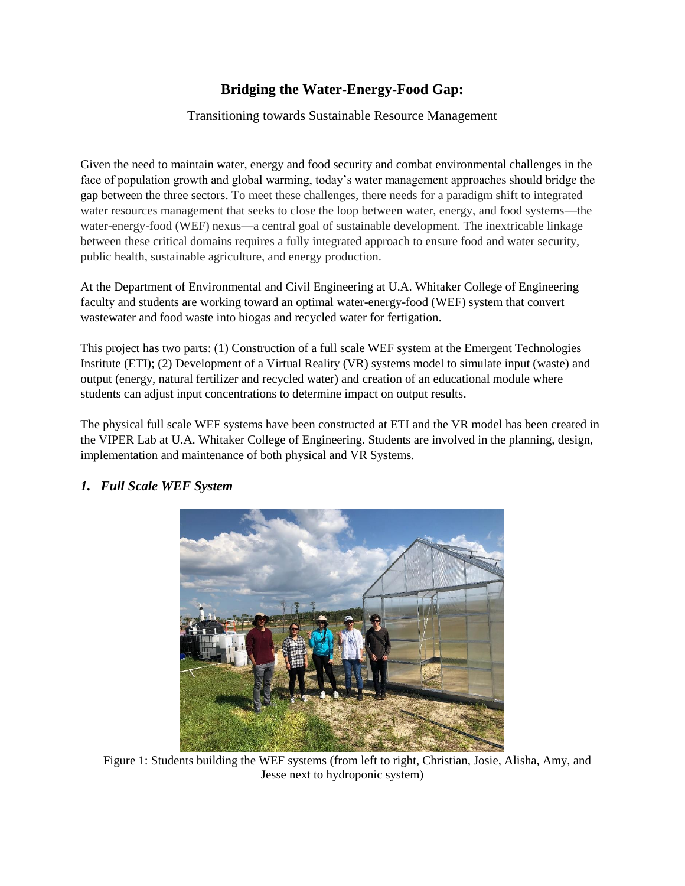## **Bridging the Water-Energy-Food Gap:**

Transitioning towards Sustainable Resource Management

Given the need to maintain water, energy and food security and combat environmental challenges in the face of population growth and global warming, today's water management approaches should bridge the gap between the three sectors. To meet these challenges, there needs for a paradigm shift to integrated water resources management that seeks to close the loop between water, energy, and food systems—the water-energy-food (WEF) nexus—a central goal of sustainable development. The inextricable linkage between these critical domains requires a fully integrated approach to ensure food and water security, public health, sustainable agriculture, and energy production.

At the Department of Environmental and Civil Engineering at U.A. Whitaker College of Engineering faculty and students are working toward an optimal water-energy-food (WEF) system that convert wastewater and food waste into biogas and recycled water for fertigation.

This project has two parts: (1) Construction of a full scale WEF system at the Emergent Technologies Institute (ETI); (2) Development of a Virtual Reality (VR) systems model to simulate input (waste) and output (energy, natural fertilizer and recycled water) and creation of an educational module where students can adjust input concentrations to determine impact on output results.

The physical full scale WEF systems have been constructed at ETI and the VR model has been created in the VIPER Lab at U.A. Whitaker College of Engineering. Students are involved in the planning, design, implementation and maintenance of both physical and VR Systems.



## *1. Full Scale WEF System*

Figure 1: Students building the WEF systems (from left to right, Christian, Josie, Alisha, Amy, and Jesse next to hydroponic system)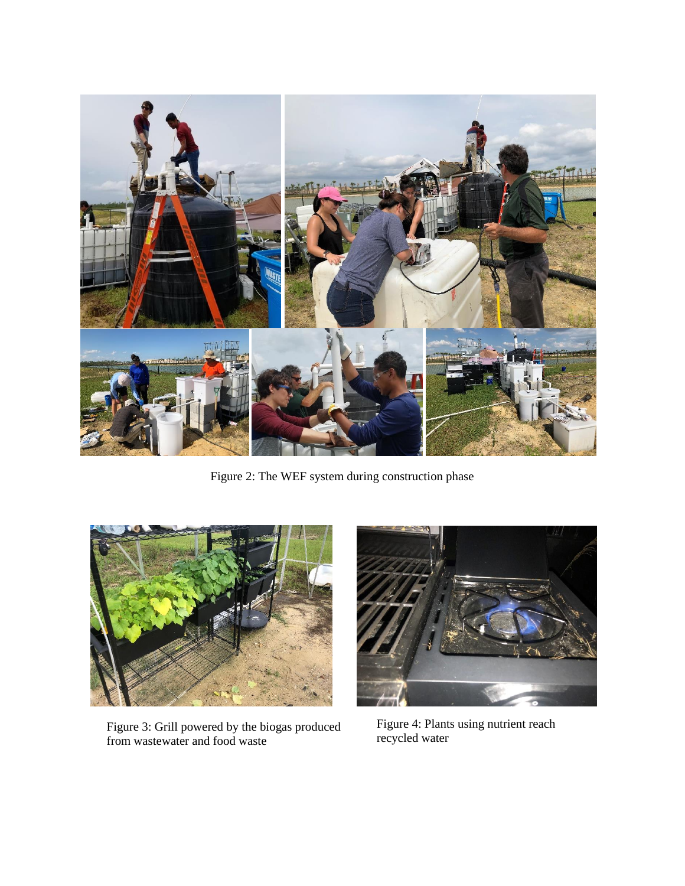

Figure 2: The WEF system during construction phase



Figure 3: Grill powered by the biogas produced from wastewater and food waste



Figure 4: Plants using nutrient reach recycled water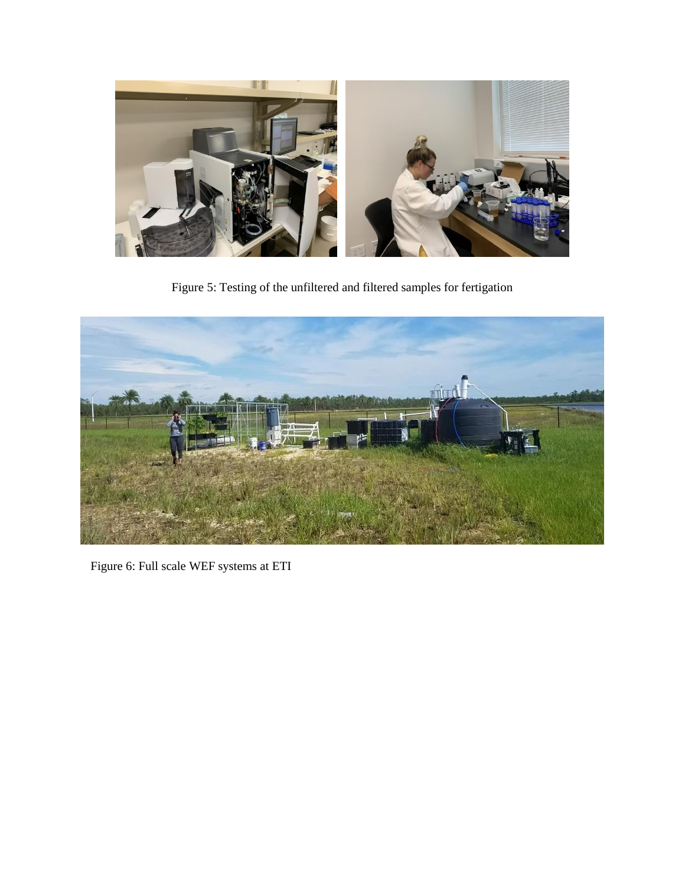

Figure 5: Testing of the unfiltered and filtered samples for fertigation



Figure 6: Full scale WEF systems at ETI